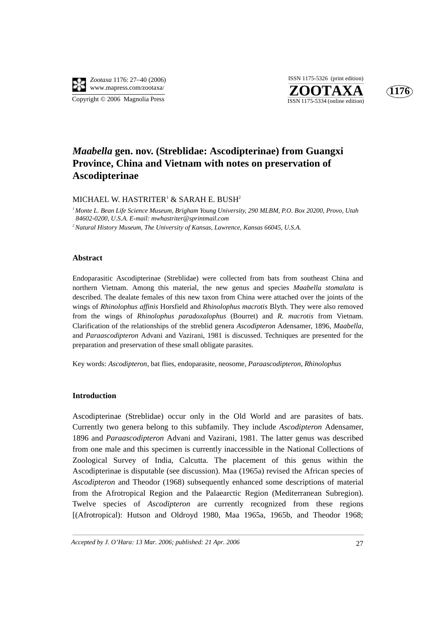

**ZOOTAXA**<br>ISSN 1175-5334 (online edition) ISSN 1175-5326 (print edition)



# *Maabella* **gen. nov. (Streblidae: Ascodipterinae) from Guangxi Province, China and Vietnam with notes on preservation of Ascodipterinae**

MICHAEL W. HASTRITER $^{\rm 1}$  & SARAH E. BUSH $^{\rm 2}$ 

*1 Monte L. Bean Life Science Museum, Brigham Young University, 290 MLBM, P.O. Box 20200, Provo, Utah 84602-0200, U.S.A. E-mail: mwhastriter@sprintmail.com*

*2 Natural History Museum, The University of Kansas, Lawrence, Kansas 66045, U.S.A.*

# **Abstract**

Endoparasitic Ascodipterinae (Streblidae) were collected from bats from southeast China and northern Vietnam. Among this material, the new genus and species *Maabella stomalata* is described. The dealate females of this new taxon from China were attached over the joints of the wings of *Rhinolophus affinis* Horsfield and *Rhinolophus macrotis* Blyth. They were also removed from the wings of *Rhinolophus paradoxalophus* (Bourret) and *R. macrotis* from Vietnam. Clarification of the relationships of the streblid genera *Ascodipteron* Adensamer, 1896, *Maabella*, and *Paraascodipteron* Advani and Vazirani, 1981 is discussed. Techniques are presented for the preparation and preservation of these small obligate parasites.

Key words: *Ascodipteron*, bat flies, endoparasite, neosome, *Paraascodipteron*, *Rhinolophus*

# **Introduction**

Ascodipterinae (Streblidae) occur only in the Old World and are parasites of bats. Currently two genera belong to this subfamily. They include *Ascodipteron* Adensamer, 1896 and *Paraascodipteron* Advani and Vazirani, 1981. The latter genus was described from one male and this specimen is currently inaccessible in the National Collections of Zoological Survey of India, Calcutta. The placement of this genus within the Ascodipterinae is disputable (see discussion). Maa (1965a) revised the African species of *Ascodipteron* and Theodor (1968) subsequently enhanced some descriptions of material from the Afrotropical Region and the Palaearctic Region (Mediterranean Subregion). Twelve species of *Ascodipteron* are currently recognized from these regions [(Afrotropical): Hutson and Oldroyd 1980, Maa 1965a, 1965b, and Theodor 1968;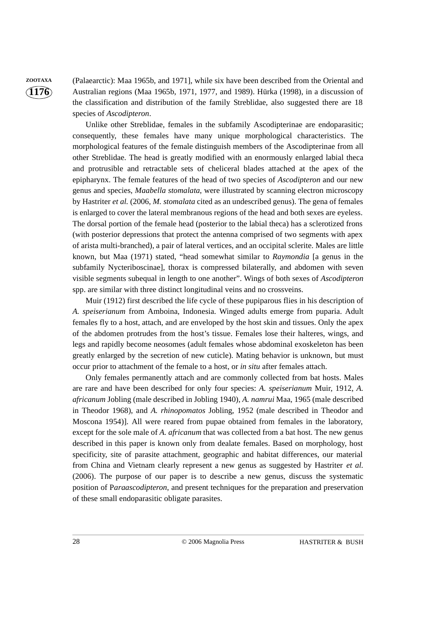**ZOOTAXA** (Palaearctic): Maa 1965b, and 1971], while six have been described from the Oriental and Australian regions (Maa 1965b, 1971, 1977, and 1989). Hürka (1998), in a discussion of the classification and distribution of the family Streblidae, also suggested there are 18 species of *Ascodipteron*.

> Unlike other Streblidae, females in the subfamily Ascodipterinae are endoparasitic; consequently, these females have many unique morphological characteristics. The morphological features of the female distinguish members of the Ascodipterinae from all other Streblidae. The head is greatly modified with an enormously enlarged labial theca and protrusible and retractable sets of cheliceral blades attached at the apex of the epipharynx. The female features of the head of two species of *Ascodipteron* and our new genus and species, *Maabella stomalata*, were illustrated by scanning electron microscopy by Hastriter *et al.* (2006, *M. stomalata* cited as an undescribed genus). The gena of females is enlarged to cover the lateral membranous regions of the head and both sexes are eyeless. The dorsal portion of the female head (posterior to the labial theca) has a sclerotized frons (with posterior depressions that protect the antenna comprised of two segments with apex of arista multi-branched), a pair of lateral vertices, and an occipital sclerite. Males are little known, but Maa (1971) stated, "head somewhat similar to *Raymondia* [a genus in the subfamily Nycteriboscinae], thorax is compressed bilaterally, and abdomen with seven visible segments subequal in length to one another". Wings of both sexes of *Ascodipteron* spp. are similar with three distinct longitudinal veins and no crossveins.

> Muir (1912) first described the life cycle of these pupiparous flies in his description of *A. speiserianum* from Amboina, Indonesia. Winged adults emerge from puparia. Adult females fly to a host, attach, and are enveloped by the host skin and tissues. Only the apex of the abdomen protrudes from the host's tissue. Females lose their halteres, wings, and legs and rapidly become neosomes (adult females whose abdominal exoskeleton has been greatly enlarged by the secretion of new cuticle). Mating behavior is unknown, but must occur prior to attachment of the female to a host, or *in situ* after females attach.

> Only females permanently attach and are commonly collected from bat hosts. Males are rare and have been described for only four species: *A. speiserianum* Muir, 1912, *A. africanum* Jobling (male described in Jobling 1940), *A. namrui* Maa, 1965 (male described in Theodor 1968), and *A. rhinopomatos* Jobling, 1952 (male described in Theodor and Moscona 1954)]. All were reared from pupae obtained from females in the laboratory, except for the sole male of *A. africanum* that was collected from a bat host. The new genus described in this paper is known only from dealate females. Based on morphology, host specificity, site of parasite attachment, geographic and habitat differences, our material from China and Vietnam clearly represent a new genus as suggested by Hastriter *et al.* (2006). The purpose of our paper is to describe a new genus, discuss the systematic position of P*araascodipteron*, and present techniques for the preparation and preservation of these small endoparasitic obligate parasites.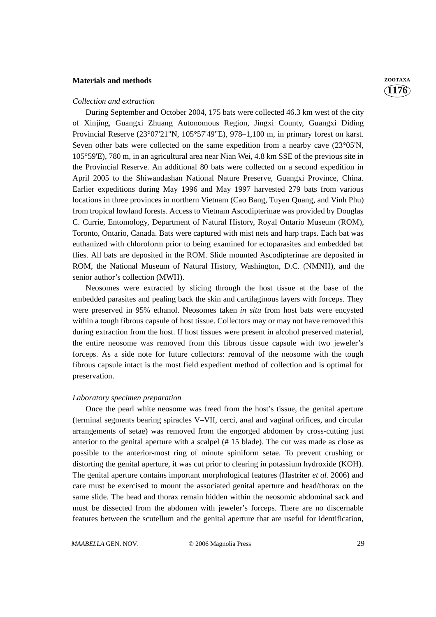# **Materials and methods** *ZOOTAXA*

#### *Collection and extraction*

During September and October 2004, 175 bats were collected 46.3 km west of the city of Xinjing, Guangxi Zhuang Autonomous Region, Jingxi County, Guangxi Diding Provincial Reserve (23°07'21"N, 105°57'49"E), 978–1,100 m, in primary forest on karst. Seven other bats were collected on the same expedition from a nearby cave (23°05'N, 105°59'E), 780 m, in an agricultural area near Nian Wei, 4.8 km SSE of the previous site in the Provincial Reserve. An additional 80 bats were collected on a second expedition in April 2005 to the Shiwandashan National Nature Preserve, Guangxi Province, China. Earlier expeditions during May 1996 and May 1997 harvested 279 bats from various locations in three provinces in northern Vietnam (Cao Bang, Tuyen Quang, and Vinh Phu) from tropical lowland forests. Access to Vietnam Ascodipterinae was provided by Douglas C. Currie, Entomology, Department of Natural History, Royal Ontario Museum (ROM), Toronto, Ontario, Canada. Bats were captured with mist nets and harp traps. Each bat was euthanized with chloroform prior to being examined for ectoparasites and embedded bat flies. All bats are deposited in the ROM. Slide mounted Ascodipterinae are deposited in ROM, the National Museum of Natural History, Washington, D.C. (NMNH), and the senior author's collection (MWH).

Neosomes were extracted by slicing through the host tissue at the base of the embedded parasites and pealing back the skin and cartilaginous layers with forceps. They were preserved in 95% ethanol. Neosomes taken *in situ* from host bats were encysted within a tough fibrous capsule of host tissue. Collectors may or may not have removed this during extraction from the host. If host tissues were present in alcohol preserved material, the entire neosome was removed from this fibrous tissue capsule with two jeweler's forceps. As a side note for future collectors: removal of the neosome with the tough fibrous capsule intact is the most field expedient method of collection and is optimal for preservation.

## *Laboratory specimen preparation*

Once the pearl white neosome was freed from the host's tissue, the genital aperture (terminal segments bearing spiracles V–VII, cerci, anal and vaginal orifices, and circular arrangements of setae) was removed from the engorged abdomen by cross-cutting just anterior to the genital aperture with a scalpel (# 15 blade). The cut was made as close as possible to the anterior-most ring of minute spiniform setae. To prevent crushing or distorting the genital aperture, it was cut prior to clearing in potassium hydroxide (KOH). The genital aperture contains important morphological features (Hastriter *et al.* 2006) and care must be exercised to mount the associated genital aperture and head/thorax on the same slide. The head and thorax remain hidden within the neosomic abdominal sack and must be dissected from the abdomen with jeweler's forceps. There are no discernable features between the scutellum and the genital aperture that are useful for identification, **1176**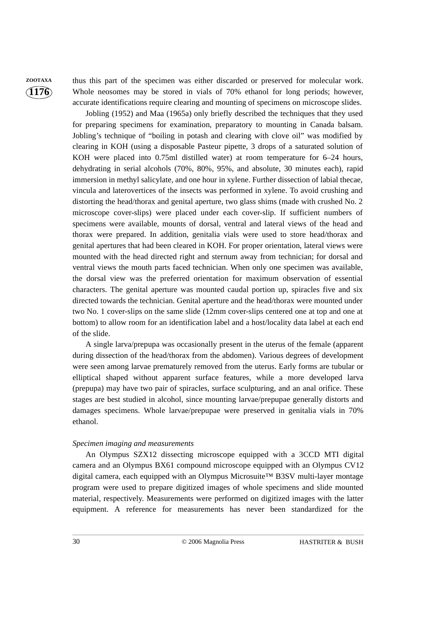**ZOOTAXA** thus this part of the specimen was either discarded or preserved for molecular work. Whole neosomes may be stored in vials of 70% ethanol for long periods; however, accurate identifications require clearing and mounting of specimens on microscope slides.

> Jobling (1952) and Maa (1965a) only briefly described the techniques that they used for preparing specimens for examination, preparatory to mounting in Canada balsam. Jobling's technique of "boiling in potash and clearing with clove oil" was modified by clearing in KOH (using a disposable Pasteur pipette, 3 drops of a saturated solution of KOH were placed into 0.75ml distilled water) at room temperature for 6–24 hours, dehydrating in serial alcohols (70%, 80%, 95%, and absolute, 30 minutes each), rapid immersion in methyl salicylate, and one hour in xylene. Further dissection of labial thecae, vincula and laterovertices of the insects was performed in xylene. To avoid crushing and distorting the head/thorax and genital aperture, two glass shims (made with crushed No. 2 microscope cover-slips) were placed under each cover-slip. If sufficient numbers of specimens were available, mounts of dorsal, ventral and lateral views of the head and thorax were prepared. In addition, genitalia vials were used to store head/thorax and genital apertures that had been cleared in KOH. For proper orientation, lateral views were mounted with the head directed right and sternum away from technician; for dorsal and ventral views the mouth parts faced technician. When only one specimen was available, the dorsal view was the preferred orientation for maximum observation of essential characters. The genital aperture was mounted caudal portion up, spiracles five and six directed towards the technician. Genital aperture and the head/thorax were mounted under two No. 1 cover-slips on the same slide (12mm cover-slips centered one at top and one at bottom) to allow room for an identification label and a host/locality data label at each end of the slide.

> A single larva/prepupa was occasionally present in the uterus of the female (apparent during dissection of the head/thorax from the abdomen). Various degrees of development were seen among larvae prematurely removed from the uterus. Early forms are tubular or elliptical shaped without apparent surface features, while a more developed larva (prepupa) may have two pair of spiracles, surface sculpturing, and an anal orifice. These stages are best studied in alcohol, since mounting larvae/prepupae generally distorts and damages specimens. Whole larvae/prepupae were preserved in genitalia vials in 70% ethanol.

### *Specimen imaging and measurements*

An Olympus SZX12 dissecting microscope equipped with a 3CCD MTI digital camera and an Olympus BX61 compound microscope equipped with an Olympus CV12 digital camera, each equipped with an Olympus Microsuite™ B3SV multi-layer montage program were used to prepare digitized images of whole specimens and slide mounted material, respectively. Measurements were performed on digitized images with the latter equipment. A reference for measurements has never been standardized for the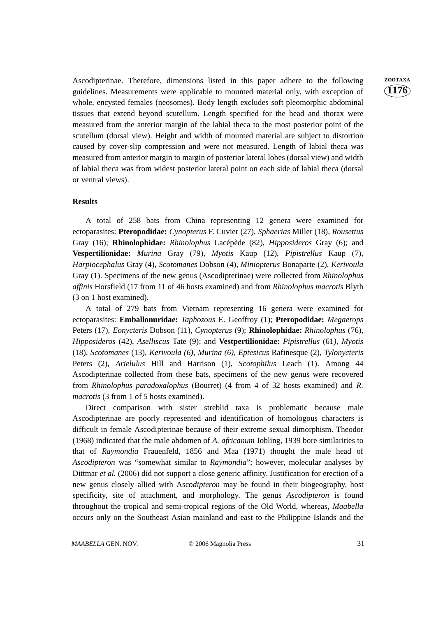Ascodipterinae. Therefore, dimensions listed in this paper adhere to the following **ZOOTAXA** guidelines. Measurements were applicable to mounted material only, with exception of whole, encysted females (neosomes). Body length excludes soft pleomorphic abdominal tissues that extend beyond scutellum. Length specified for the head and thorax were measured from the anterior margin of the labial theca to the most posterior point of the scutellum (dorsal view). Height and width of mounted material are subject to distortion caused by cover-slip compression and were not measured. Length of labial theca was measured from anterior margin to margin of posterior lateral lobes (dorsal view) and width of labial theca was from widest posterior lateral point on each side of labial theca (dorsal or ventral views).

### **Results**

A total of 258 bats from China representing 12 genera were examined for ectoparasites: **Pteropodidae:** *Cynopterus* F. Cuvier (27), *Sphaerias* Miller (18), *Rousettus* Gray (16); **Rhinolophidae:** *Rhinolophus* Lacépède (82), *Hipposideros* Gray (6); and **Vespertilionidae:** *Murina* Gray (79), *Myotis* Kaup (12), *Pipistrellus* Kaup (7), *Harpiocephalus* Gray (4), *Scotomanes* Dobson (4), *Miniopterus* Bonaparte (2), *Kerivoula* Gray (1). Specimens of the new genus (Ascodipterinae) were collected from *Rhinolophus affinis* Horsfield (17 from 11 of 46 hosts examined) and from *Rhinolophus macrotis* Blyth (3 on 1 host examined).

A total of 279 bats from Vietnam representing 16 genera were examined for ectoparasites: **Emballonuridae:** *Taphozous* E. Geoffroy (1); **Pteropodidae:** *Megaerops* Peters (17), *Eonycteris* Dobson (11), *Cynopterus* (9); **Rhinolophidae:** *Rhinolophus* (76), *Hipposideros* (42), *Aselliscus* Tate (9); and **Vestpertilionidae:** *Pipistrellus* (61*), Myotis* (18), *Scotomanes* (13), *Kerivoula (6), Murina (6), Eptesicus* Rafinesque (2), *Tylonycteris* Peters (2), *Arielulus* Hill and Harrison (1), *Scotophilus* Leach (1). Among 44 Ascodipterinae collected from these bats, specimens of the new genus were recovered from *Rhinolophus paradoxalophus* (Bourret) (4 from 4 of 32 hosts examined) and *R. macrotis* (3 from 1 of 5 hosts examined).

Direct comparison with sister streblid taxa is problematic because male Ascodipterinae are poorly represented and identification of homologous characters is difficult in female Ascodipterinae because of their extreme sexual dimorphism. Theodor (1968) indicated that the male abdomen of *A. africanum* Jobling, 1939 bore similarities to that of *Raymondia* Frauenfeld, 1856 and Maa (1971) thought the male head of *Ascodipteron* was "somewhat similar to *Raymondia*"; however, molecular analyses by Dittmar *et al.* (2006) did not support a close generic affinity. Justification for erection of a new genus closely allied with Asc*odipteron* may be found in their biogeography, host specificity, site of attachment, and morphology. The genus *Ascodipteron* is found throughout the tropical and semi-tropical regions of the Old World, whereas, *Maabella* occurs only on the Southeast Asian mainland and east to the Philippine Islands and the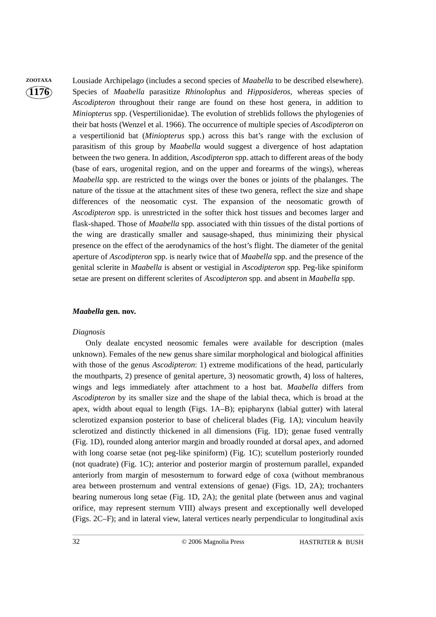**ZOOTAXA** Lousiade Archipelago (includes a second species of *Maabella* to be described elsewhere). Species of *Maabella* parasitize *Rhinolophus* and *Hipposideros*, whereas species of *Ascodipteron* throughout their range are found on these host genera, in addition to *Miniopterus* spp. (Vespertilionidae). The evolution of streblids follows the phylogenies of their bat hosts (Wenzel et al. 1966). The occurrence of multiple species of *Ascodipteron* on a vespertilionid bat (*Miniopterus* spp.) across this bat's range with the exclusion of parasitism of this group by *Maabella* would suggest a divergence of host adaptation between the two genera. In addition, *Ascodipteron* spp. attach to different areas of the body (base of ears, urogenital region, and on the upper and forearms of the wings), whereas *Maabella* spp. are restricted to the wings over the bones or joints of the phalanges. The nature of the tissue at the attachment sites of these two genera, reflect the size and shape differences of the neosomatic cyst. The expansion of the neosomatic growth of *Ascodipteron* spp. is unrestricted in the softer thick host tissues and becomes larger and flask-shaped. Those of *Maabella* spp. associated with thin tissues of the distal portions of the wing are drastically smaller and sausage-shaped, thus minimizing their physical presence on the effect of the aerodynamics of the host's flight. The diameter of the genital aperture of *Ascodipteron* spp. is nearly twice that of *Maabella* spp. and the presence of the genital sclerite in *Maabella* is absent or vestigial in *Ascodipteron* spp. Peg-like spiniform setae are present on different sclerites of *Ascodipteron* spp. and absent in *Maabella* spp.

## *Maabella* **gen. nov.**

### *Diagnosis*

Only dealate encysted neosomic females were available for description (males unknown). Females of the new genus share similar morphological and biological affinities with those of the genus *Ascodipteron*: 1) extreme modifications of the head, particularly the mouthparts, 2) presence of genital aperture, 3) neosomatic growth, 4) loss of halteres, wings and legs immediately after attachment to a host bat. *Maabella* differs from *Ascodipteron* by its smaller size and the shape of the labial theca, which is broad at the apex, width about equal to length (Figs. 1A–B); epipharynx (labial gutter) with lateral sclerotized expansion posterior to base of cheliceral blades (Fig. 1A); vinculum heavily sclerotized and distinctly thickened in all dimensions (Fig. 1D); genae fused ventrally (Fig. 1D), rounded along anterior margin and broadly rounded at dorsal apex, and adorned with long coarse setae (not peg-like spiniform) (Fig. 1C); scutellum posteriorly rounded (not quadrate) (Fig. 1C); anterior and posterior margin of prosternum parallel, expanded anteriorly from margin of mesosternum to forward edge of coxa (without membranous area between prosternum and ventral extensions of genae) (Figs. 1D, 2A); trochanters bearing numerous long setae (Fig. 1D, 2A); the genital plate (between anus and vaginal orifice, may represent sternum VIII) always present and exceptionally well developed (Figs. 2C–F); and in lateral view, lateral vertices nearly perpendicular to longitudinal axis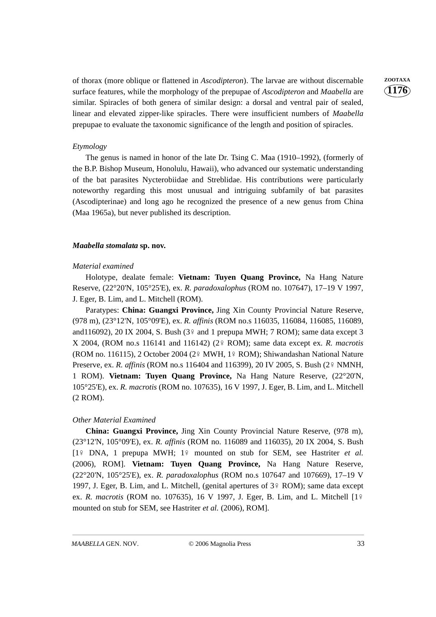of thorax (more oblique or flattened in *Ascodipteron*). The larvae are without discernable **ZOOTAXA** surface features, while the morphology of the prepupae of *Ascodipteron* and *Maabella* are similar. Spiracles of both genera of similar design: a dorsal and ventral pair of sealed, linear and elevated zipper-like spiracles. There were insufficient numbers of *Maabella* prepupae to evaluate the taxonomic significance of the length and position of spiracles.

### *Etymology*

The genus is named in honor of the late Dr. Tsing C. Maa (1910–1992), (formerly of the B.P. Bishop Museum, Honolulu, Hawaii), who advanced our systematic understanding of the bat parasites Nycterobiidae and Streblidae. His contributions were particularly noteworthy regarding this most unusual and intriguing subfamily of bat parasites (Ascodipterinae) and long ago he recognized the presence of a new genus from China (Maa 1965a), but never published its description.

### *Maabella stomalata* **sp. nov.**

#### *Material examined*

Holotype, dealate female: **Vietnam: Tuyen Quang Province,** Na Hang Nature Reserve, (22°20'N, 105°25'E), ex. *R. paradoxalophus* (ROM no. 107647), 17–19 V 1997, J. Eger, B. Lim, and L. Mitchell (ROM).

Paratypes: **China: Guangxi Province,** Jing Xin County Provincial Nature Reserve, (978 m), (23°12'N, 105°09'E), ex. *R. affinis* (ROM no.s 116035, 116084, 116085, 116089, and116092), 20 IX 2004, S. Bush  $(3)$ <sup>2</sup> and 1 prepupa MWH; 7 ROM); same data except 3 X 2004, (ROM no.s 116141 and 116142) (2 ROM); same data except ex. *R. macrotis* (ROM no. 116115), 2 October 2004 (2º MWH, 1º ROM); Shiwandashan National Nature Preserve, ex. *R. affinis* (ROM no.s 116404 and 116399), 20 IV 2005, S. Bush (2º NMNH, 1 ROM). **Vietnam: Tuyen Quang Province,** Na Hang Nature Reserve, (22°20'N, 105°25'E), ex. *R. macrotis* (ROM no. 107635), 16 V 1997, J. Eger, B. Lim, and L. Mitchell (2 ROM).

#### *Other Material Examined*

**China: Guangxi Province,** Jing Xin County Provincial Nature Reserve, (978 m), (23°12'N, 105°09'E), ex. *R. affinis* (ROM no. 116089 and 116035), 20 IX 2004, S. Bush [1<sup>2</sup> DNA, 1 prepupa MWH; 1<sup>2</sup> mounted on stub for SEM, see Hastriter *et al.* (2006), ROM]. **Vietnam: Tuyen Quang Province,** Na Hang Nature Reserve, (22°20'N, 105°25'E), ex. *R. paradoxalophus* (ROM no.s 107647 and 107669), 17–19 V 1997, J. Eger, B. Lim, and L. Mitchell, (genital apertures of  $3\frac{1}{7}$  ROM); same data except ex. *R. macrotis* (ROM no. 107635), 16 V 1997, J. Eger, B. Lim, and L. Mitchell [1 mounted on stub for SEM, see Hastriter *et al.* (2006), ROM].

**1176**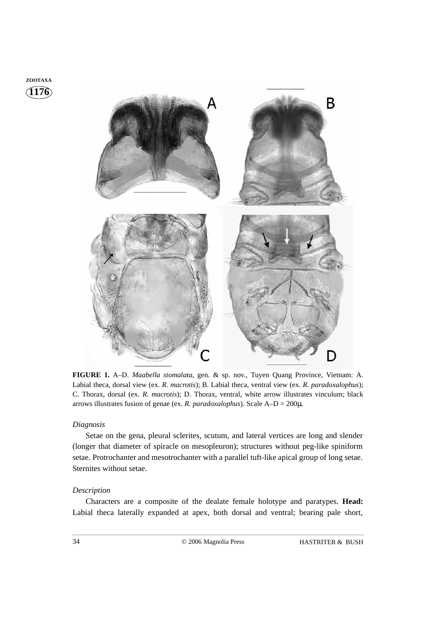



**FIGURE 1.** A–D. *Maabella stomalata*, gen. & sp. nov., Tuyen Quang Province, Vietnam: A. Labial theca, dorsal view (ex. *R. macrotis*); B. Labial theca, ventral view (ex. *R. paradoxalophus*); C. Thorax, dorsal (ex. *R. macrotis*); D. Thorax, ventral, white arrow illustrates vinculum; black arrows illustrates fusion of genae (ex. *R. paradoxalophus*). Scale A–D = 200µ.

# *Diagnosis*

Setae on the gena, pleural sclerites, scutum, and lateral vertices are long and slender (longer that diameter of spiracle on mesopleuron); structures without peg-like spiniform setae. Protrochanter and mesotrochanter with a parallel tuft-like apical group of long setae. Sternites without setae.

### *Description*

Characters are a composite of the dealate female holotype and paratypes. **Head:** Labial theca laterally expanded at apex, both dorsal and ventral; bearing pale short,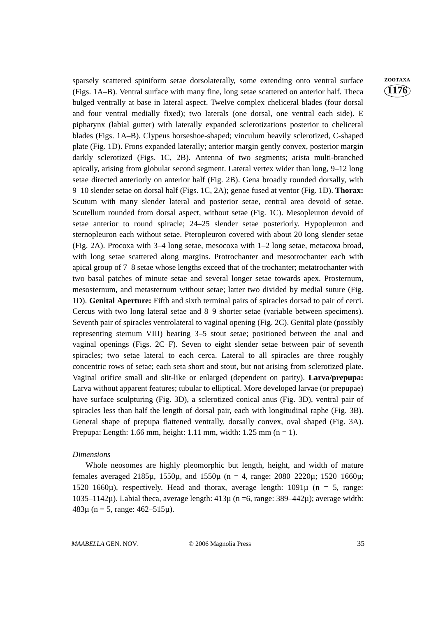sparsely scattered spiniform setae dorsolaterally, some extending onto ventral surface **ZOOTAXA** (Figs. 1A–B). Ventral surface with many fine, long setae scattered on anterior half. Theca bulged ventrally at base in lateral aspect. Twelve complex cheliceral blades (four dorsal and four ventral medially fixed); two laterals (one dorsal, one ventral each side). E pipharynx (labial gutter) with laterally expanded sclerotizations posterior to cheliceral blades (Figs. 1A–B). Clypeus horseshoe-shaped; vinculum heavily sclerotized, C-shaped plate (Fig. 1D). Frons expanded laterally; anterior margin gently convex, posterior margin darkly sclerotized (Figs. 1C, 2B). Antenna of two segments; arista multi-branched apically, arising from globular second segment. Lateral vertex wider than long, 9–12 long setae directed anteriorly on anterior half (Fig. 2B). Gena broadly rounded dorsally, with 9–10 slender setae on dorsal half (Figs. 1C, 2A); genae fused at ventor (Fig. 1D). **Thorax:** Scutum with many slender lateral and posterior setae, central area devoid of setae. Scutellum rounded from dorsal aspect, without setae (Fig. 1C). Mesopleuron devoid of setae anterior to round spiracle; 24–25 slender setae posteriorly. Hypopleuron and sternopleuron each without setae. Pteropleuron covered with about 20 long slender setae (Fig. 2A). Procoxa with 3–4 long setae, mesocoxa with 1–2 long setae, metacoxa broad, with long setae scattered along margins. Protrochanter and mesotrochanter each with apical group of 7–8 setae whose lengths exceed that of the trochanter; metatrochanter with two basal patches of minute setae and several longer setae towards apex. Prosternum, mesosternum, and metasternum without setae; latter two divided by medial suture (Fig. 1D). **Genital Aperture:** Fifth and sixth terminal pairs of spiracles dorsad to pair of cerci. Cercus with two long lateral setae and 8–9 shorter setae (variable between specimens). Seventh pair of spiracles ventrolateral to vaginal opening (Fig. 2C). Genital plate (possibly representing sternum VIII) bearing 3–5 stout setae; positioned between the anal and vaginal openings (Figs. 2C–F). Seven to eight slender setae between pair of seventh spiracles; two setae lateral to each cerca. Lateral to all spiracles are three roughly concentric rows of setae; each seta short and stout, but not arising from sclerotized plate. Vaginal orifice small and slit-like or enlarged (dependent on parity). **Larva/prepupa:** Larva without apparent features; tubular to elliptical. More developed larvae (or prepupae) have surface sculpturing (Fig. 3D), a sclerotized conical anus (Fig. 3D), ventral pair of spiracles less than half the length of dorsal pair, each with longitudinal raphe (Fig. 3B). General shape of prepupa flattened ventrally, dorsally convex, oval shaped (Fig. 3A). Prepupa: Length: 1.66 mm, height: 1.11 mm, width: 1.25 mm ( $n = 1$ ).

# *Dimensions*

Whole neosomes are highly pleomorphic but length, height, and width of mature females averaged 2185 $\mu$ , 1550 $\mu$ , and 1550 $\mu$  (n = 4, range: 2080–2220 $\mu$ ; 1520–1660 $\mu$ ; 1520–1660 $\mu$ ), respectively. Head and thorax, average length: 1091 $\mu$  (n = 5, range: 1035–1142 $\mu$ ). Labial theca, average length: 413 $\mu$  (n =6, range: 389–442 $\mu$ ); average width: 483 $\mu$  (n = 5, range: 462–515 $\mu$ ).

**1176**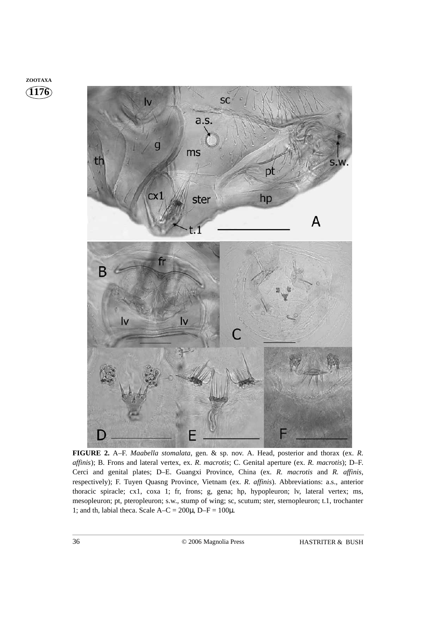**1176 ZOOTAXA**



**FIGURE 2.** A–F. *Maabella stomalata*, gen. & sp. nov. A. Head, posterior and thorax (ex. *R. affinis*); B. Frons and lateral vertex, ex. *R. macrotis*; C. Genital aperture (ex. *R. macrotis*); D–F. Cerci and genital plates; D–E. Guangxi Province, China (ex. *R. macrotis* and *R. affinis*, respectively); F. Tuyen Quasng Province, Vietnam (ex. *R. affinis*). Abbreviations: a.s., anterior thoracic spiracle; cx1, coxa 1; fr, frons; g, gena; hp, hypopleuron; lv, lateral vertex; ms, mesopleuron; pt, pteropleuron; s.w., stump of wing; sc, scutum; ster, sternopleuron; t.1, trochanter 1; and th, labial theca. Scale  $A-C = 200\mu$ ,  $D-F = 100\mu$ .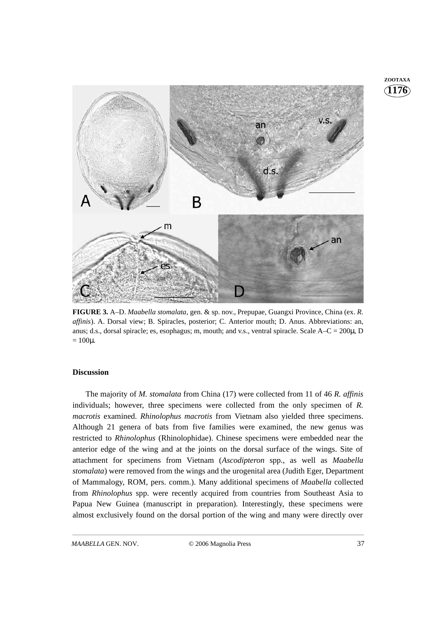

**FIGURE 3.** A–D. *Maabella stomalata*, gen. & sp. nov., Prepupae, Guangxi Province, China (ex. *R. affinis*). A. Dorsal view; B. Spiracles, posterior; C. Anterior mouth; D. Anus. Abbreviations: an, anus; d.s., dorsal spiracle; es, esophagus; m, mouth; and v.s., ventral spiracle. Scale  $A-C = 200\mu$ , D  $= 100 \mu$ .

### **Discussion**

The majority of *M. stomalata* from China (17) were collected from 11 of 46 *R. affinis* individuals; however, three specimens were collected from the only specimen of *R. macrotis* examined. *Rhinolophus macrotis* from Vietnam also yielded three specimens. Although 21 genera of bats from five families were examined, the new genus was restricted to *Rhinolophus* (Rhinolophidae). Chinese specimens were embedded near the anterior edge of the wing and at the joints on the dorsal surface of the wings. Site of attachment for specimens from Vietnam (*Ascodipteron* spp., as well as *Maabella stomalata*) were removed from the wings and the urogenital area (Judith Eger, Department of Mammalogy, ROM, pers. comm.). Many additional specimens of *Maabella* collected from *Rhinolophus* spp. were recently acquired from countries from Southeast Asia to Papua New Guinea (manuscript in preparation). Interestingly, these specimens were almost exclusively found on the dorsal portion of the wing and many were directly over

*MAABELLA* GEN. NOV. © 2006 Magnolia Press 37

**1176 ZOOTAXA**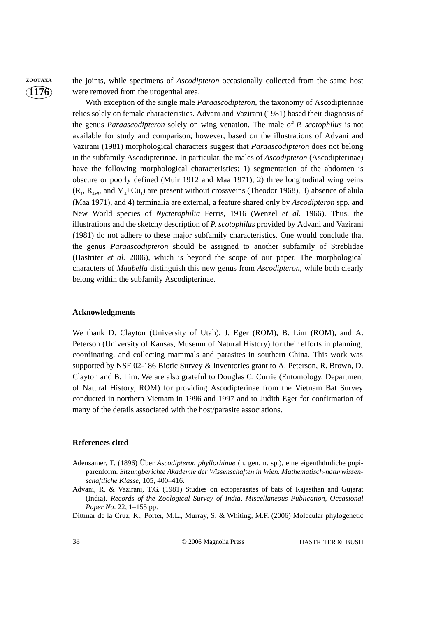**ZOOTAXA** the joints, while specimens of *Ascodipteron* occasionally collected from the same host were removed from the urogenital area.

> With exception of the single male *Paraascodipteron*, the taxonomy of Ascodipterinae relies solely on female characteristics. Advani and Vazirani (1981) based their diagnosis of the genus *Paraascodipteron* solely on wing venation. The male of *P. scotophilus* is not available for study and comparison; however, based on the illustrations of Advani and Vazirani (1981) morphological characters suggest that *Paraascodipteron* does not belong in the subfamily Ascodipterinae. In particular, the males of *Ascodipteron* (Ascodipterinae) have the following morphological characteristics: 1) segmentation of the abdomen is obscure or poorly defined (Muir 1912 and Maa 1971), 2) three longitudinal wing veins  $(R_1, R_{4,5}, \text{ and } M_4 + Cu_1)$  are present without crossveins (Theodor 1968), 3) absence of alula (Maa 1971), and 4) terminalia are external, a feature shared only by *Ascodipteron* spp. and New World species of *Nycterophilia* Ferris, 1916 (Wenzel *et al.* 1966). Thus, the illustrations and the sketchy description of *P. scotophilus* provided by Advani and Vazirani (1981) do not adhere to these major subfamily characteristics. One would conclude that the genus *Paraascodipteron* should be assigned to another subfamily of Streblidae (Hastriter *et al.* 2006), which is beyond the scope of our paper. The morphological characters of *Maabella* distinguish this new genus from *Ascodipteron*, while both clearly belong within the subfamily Ascodipterinae.

### **Acknowledgments**

We thank D. Clayton (University of Utah), J. Eger (ROM), B. Lim (ROM), and A. Peterson (University of Kansas, Museum of Natural History) for their efforts in planning, coordinating, and collecting mammals and parasites in southern China. This work was supported by NSF 02-186 Biotic Survey & Inventories grant to A. Peterson, R. Brown, D. Clayton and B. Lim. We are also grateful to Douglas C. Currie (Entomology, Department of Natural History, ROM) for providing Ascodipterinae from the Vietnam Bat Survey conducted in northern Vietnam in 1996 and 1997 and to Judith Eger for confirmation of many of the details associated with the host/parasite associations.

### **References cited**

- Adensamer, T. (1896) Über *Ascodipteron phyllorhinae* (n. gen. n. sp.), eine eigenthümliche pupiparenform. *Sitzungberichte Akademie der Wissenschaften in Wien. Mathematisch-naturwissenschaftliche Klasse*, 105, 400–416.
- Advani, R. & Vazirani, T.G. (1981) Studies on ectoparasites of bats of Rajasthan and Gujarat (India). *Records of the Zoological Survey of India, Miscellaneous Publication, Occasional Paper No*. 22, 1–155 pp.

Dittmar de la Cruz, K., Porter, M.L., Murray, S. & Whiting, M.F. (2006) Molecular phylogenetic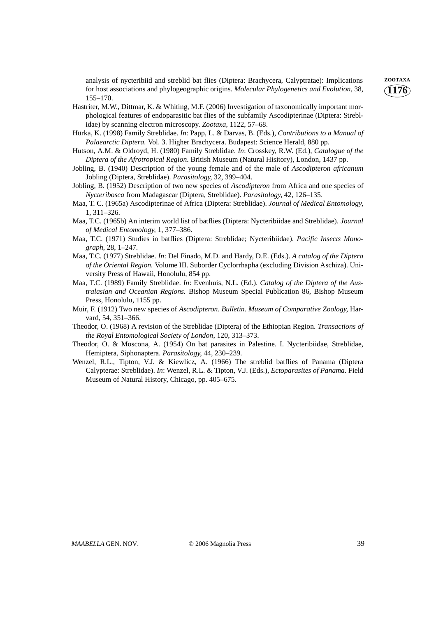analysis of nycteribiid and streblid bat flies (Diptera: Brachycera, Calyptratae): Implications **ZOOTAXA** for host associations and phylogeographic origins. *Molecular Phylogenetics and Evolution*, 38, 155–170.

- Hastriter, M.W., Dittmar, K. & Whiting, M.F. (2006) Investigation of taxonomically important morphological features of endoparasitic bat flies of the subfamily Ascodipterinae (Diptera: Streblidae) by scanning electron microscopy. *Zootaxa*, 1122, 57–68.
- Hürka, K. (1998) Family Streblidae. *In*: Papp, L. & Darvas, B. (Eds.), *Contributions to a Manual of Palaearctic Diptera.* Vol. 3. Higher Brachycera. Budapest: Science Herald, 880 pp.
- Hutson, A.M. & Oldroyd, H. (1980) Family Streblidae. *In*: Crosskey, R.W. (Ed.), *Catalogue of the Diptera of the Afrotropical Region*. British Museum (Natural Hisitory), London, 1437 pp.
- Jobling, B. (1940) Description of the young female and of the male of *Ascodipteron africanum* Jobling (Diptera, Streblidae). *Parasitology*, 32, 399–404.
- Jobling, B. (1952) Description of two new species of *Ascodipteron* from Africa and one species of *Nycteribosca* from Madagascar (Diptera, Streblidae). *Parasitology*, 42, 126–135.
- Maa, T. C. (1965a) Ascodipterinae of Africa (Diptera: Streblidae). *Journal of Medical Entomology*, 1, 311–326.
- Maa, T.C. (1965b) An interim world list of batflies (Diptera: Nycteribiidae and Streblidae). *Journal of Medical Entomology*, 1, 377–386.
- Maa, T.C. (1971) Studies in batflies (Diptera: Streblidae; Nycteribiidae). *Pacific Insects Monograph*, 28, 1–247.
- Maa, T.C. (1977) Streblidae. *In*: Del Finado, M.D. and Hardy, D.E. (Eds.). *A catalog of the Diptera of the Oriental Region.* Volume III. Suborder Cyclorrhapha (excluding Division Aschiza). University Press of Hawaii, Honolulu, 854 pp.
- Maa, T.C. (1989) Family Streblidae. *In*: Evenhuis, N.L. (Ed.). *Catalog of the Diptera of the Australasian and Oceanian Regions.* Bishop Museum Special Publication 86, Bishop Museum Press, Honolulu, 1155 pp.
- Muir, F. (1912) Two new species of *Ascodipteron*. *Bulletin. Museum of Comparative Zoology*, Harvard, 54, 351–366.
- Theodor, O. (1968) A revision of the Streblidae (Diptera) of the Ethiopian Region. *Transactions of the Royal Entomological Society of London*, 120, 313–373.
- Theodor, O. & Moscona, A. (1954) On bat parasites in Palestine. I. Nycteribiidae, Streblidae, Hemiptera, Siphonaptera. *Parasitology*, 44, 230–239.
- Wenzel, R.L., Tipton, V.J. & Kiewlicz, A. (1966) The streblid batflies of Panama (Diptera Calypterae: Streblidae). *In*: Wenzel, R.L. & Tipton, V.J. (Eds.), *Ectoparasites of Panama*. Field Museum of Natural History, Chicago, pp. 405–675.